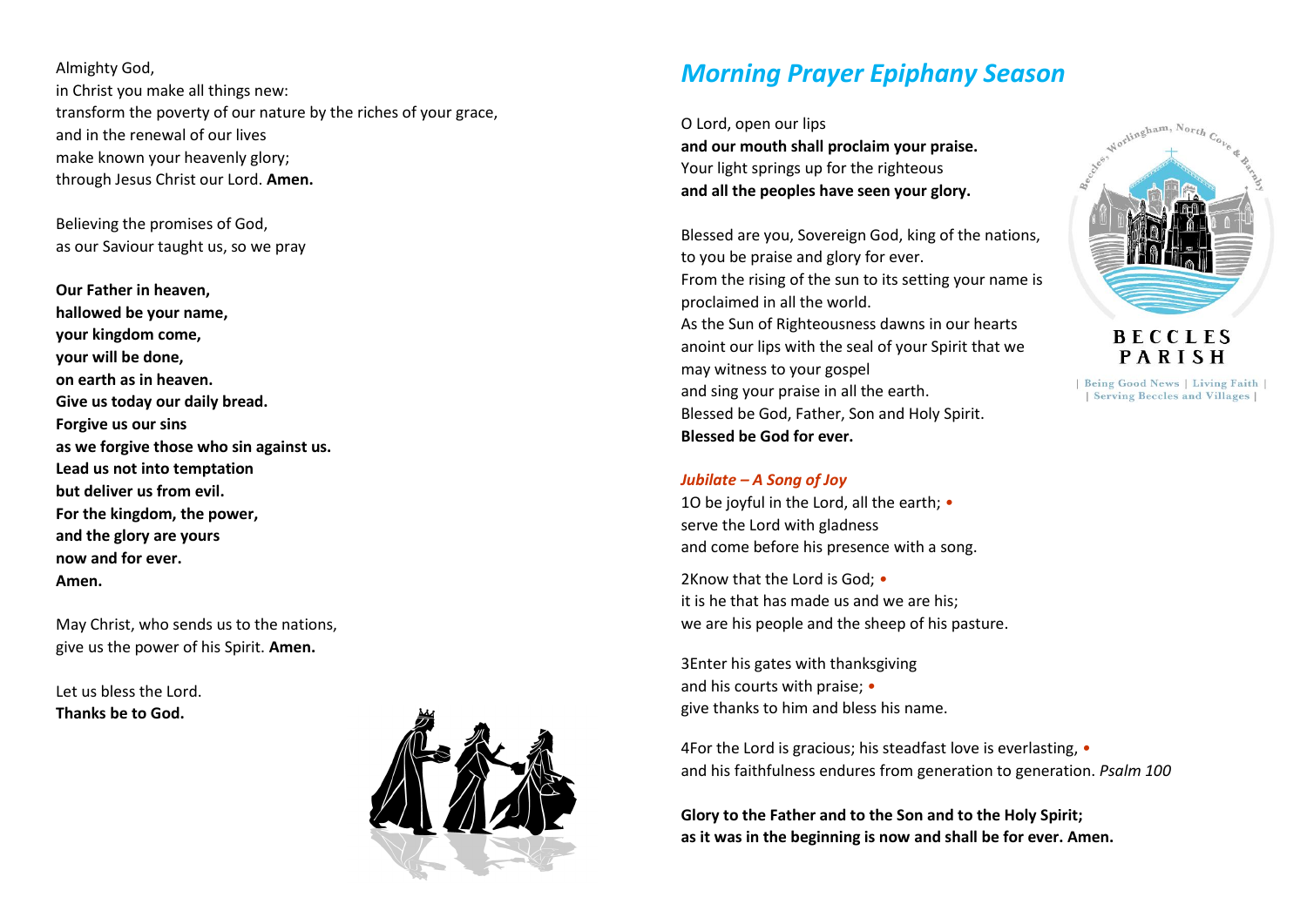Almighty God, in Christ you make all things new: transform the poverty of our nature by the riches of your grace, and in the renewal of our lives make known your heavenly glory; through Jesus Christ our Lord. **Amen.**

Believing the promises of God, as our Saviour taught us, so we pray

**Our Father in heaven, hallowed be your name, your kingdom come, your will be done, on earth as in heaven. Give us today our daily bread. Forgive us our sins as we forgive those who sin against us. Lead us not into temptation but deliver us from evil. For the kingdom, the power, and the glory are yours now and for ever. Amen.**

May Christ, who sends us to the nations, give us the power of his Spirit. **Amen.**

Let us bless the Lord. **Thanks be to God.**



# *Morning Prayer Epiphany Season*

O Lord, open our lips **and our mouth shall proclaim your praise.** Your light springs up for the righteous **and all the peoples have seen your glory.**

Blessed are you, Sovereign God, king of the nations, to you be praise and glory for ever. From the rising of the sun to its setting your name is proclaimed in all the world. As the Sun of Righteousness dawns in our hearts anoint our lips with the seal of your Spirit that we may witness to your gospel and sing your praise in all the earth. Blessed be God, Father, Son and Holy Spirit. **Blessed be God for ever.**

### *Jubilate – A Song of Joy*

1O be joyful in the Lord, all the earth; *•* serve the Lord with gladness and come before his presence with a song.

2Know that the Lord is God; *•* it is he that has made us and we are his; we are his people and the sheep of his pasture.

3Enter his gates with thanksgiving and his courts with praise; *•* give thanks to him and bless his name.

4For the Lord is gracious; his steadfast love is everlasting, *•* and his faithfulness endures from generation to generation. *Psalm 100*

**Glory to the Father and to the Son and to the Holy Spirit; as it was in the beginning is now and shall be for ever. Amen.**



**BECCLES** PARISH

| Being Good News | Living Faith | | Serving Beccles and Villages |